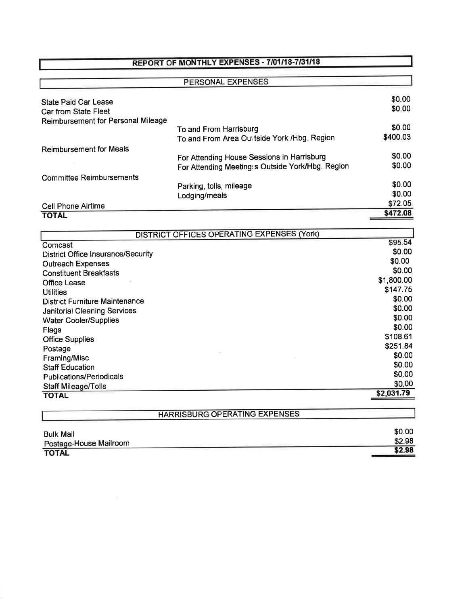## REPORT OF MONTHLY EXPENSES - 7/01/18-7/31/18

|                                    | PERSONAL EXPENSES                                 |          |
|------------------------------------|---------------------------------------------------|----------|
| <b>State Paid Car Lease</b>        |                                                   | \$0.00   |
| Car from State Fleet               |                                                   | \$0.00   |
| Reimbursement for Personal Mileage |                                                   |          |
|                                    | To and From Harrisburg                            | \$0.00   |
|                                    | To and From Area Out tside York / Hbg. Region     | \$400.03 |
| <b>Reimbursement for Meals</b>     |                                                   |          |
|                                    | For Attending House Sessions in Harrisburg        | \$0.00   |
|                                    | For Attending Meeting: s Outside York/Hbg. Region | \$0.00   |
| <b>Committee Reimbursements</b>    |                                                   |          |
|                                    | Parking, tolls, mileage                           | \$0.00   |
|                                    | Lodging/meals                                     | \$0.00   |
| Cell Phone Airtime                 |                                                   | \$72.05  |
| <b>TOTAL</b>                       |                                                   | \$472.08 |

| DISTRICT OFFICES OPERATING EXPENSES (York) |            |  |
|--------------------------------------------|------------|--|
| Comcast                                    | \$95.54    |  |
| <b>District Office Insurance/Security</b>  | \$0.00     |  |
| <b>Outreach Expenses</b>                   | \$0.00     |  |
| <b>Constituent Breakfasts</b>              | \$0.00     |  |
| Office Lease                               | \$1,800.00 |  |
| <b>Utilities</b>                           | \$147.75   |  |
| <b>District Furniture Maintenance</b>      | \$0.00     |  |
| <b>Janitorial Cleaning Services</b>        | \$0.00     |  |
| <b>Water Cooler/Supplies</b>               | \$0.00     |  |
| Flags                                      | \$0.00     |  |
| <b>Office Supplies</b>                     | \$108.61   |  |
| Postage                                    | \$251.84   |  |
| Framing/Misc.                              | \$0.00     |  |
| <b>Staff Education</b>                     | \$0.00     |  |
| <b>Publications/Periodicals</b>            | \$0.00     |  |
| <b>Staff Mileage/Tolls</b>                 | \$0.00     |  |
| <b>TOTAL</b>                               | \$2,031.79 |  |
|                                            |            |  |
| <b>HARRISBURG OPERATING EXPENSES</b>       |            |  |

| <b>Bulk Mail</b>       | \$0.00 |
|------------------------|--------|
| Postage-House Mailroom | \$2.98 |
| <b>TOTAL</b>           | \$2.98 |